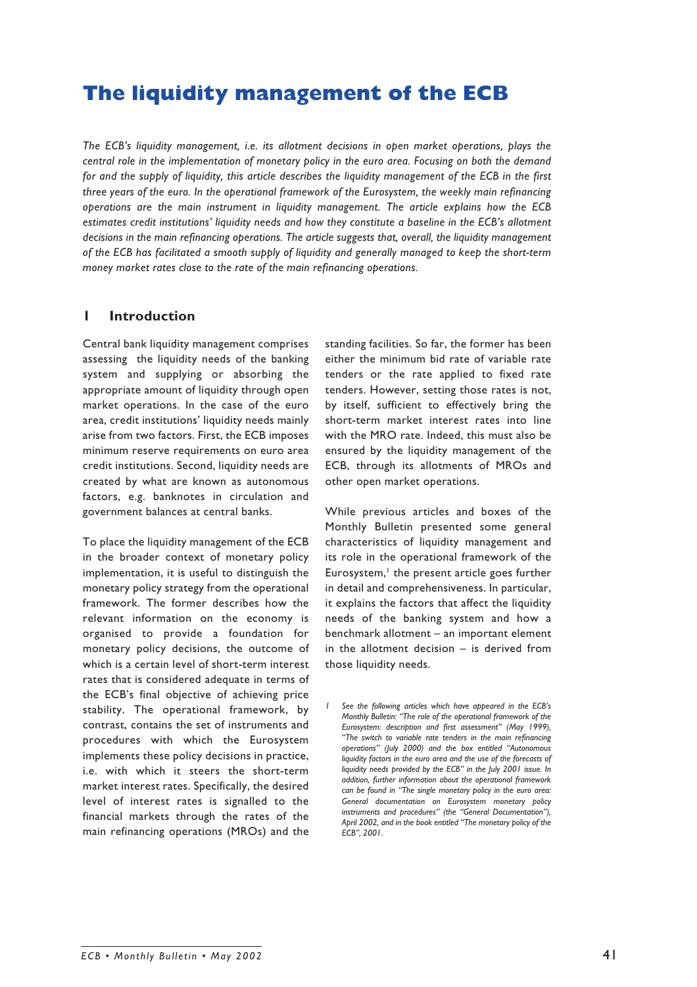# **The liquidity management of the ECB**

*The ECB's liquidity management, i.e. its allotment decisions in open market operations, plays the central role in the implementation of monetary policy in the euro area. Focusing on both the demand for and the supply of liquidity, this article describes the liquidity management of the ECB in the first three years of the euro. In the operational framework of the Eurosystem, the weekly main refinancing operations are the main instrument in liquidity management. The article explains how the ECB estimates credit institutions' liquidity needs and how they constitute a baseline in the ECB's allotment decisions in the main refinancing operations. The article suggests that, overall, the liquidity management of the ECB has facilitated a smooth supply of liquidity and generally managed to keep the short-term money market rates close to the rate of the main refinancing operations.*

# **1 Introduction**

Central bank liquidity management comprises assessing the liquidity needs of the banking system and supplying or absorbing the appropriate amount of liquidity through open market operations. In the case of the euro area, credit institutions' liquidity needs mainly arise from two factors. First, the ECB imposes minimum reserve requirements on euro area credit institutions. Second, liquidity needs are created by what are known as autonomous factors, e.g. banknotes in circulation and government balances at central banks.

To place the liquidity management of the ECB in the broader context of monetary policy implementation, it is useful to distinguish the monetary policy strategy from the operational framework. The former describes how the relevant information on the economy is organised to provide a foundation for monetary policy decisions, the outcome of which is a certain level of short-term interest rates that is considered adequate in terms of the ECB's final objective of achieving price stability. The operational framework, by contrast, contains the set of instruments and procedures with which the Eurosystem implements these policy decisions in practice, i.e. with which it steers the short-term market interest rates. Specifically, the desired level of interest rates is signalled to the financial markets through the rates of the main refinancing operations (MROs) and the

standing facilities. So far, the former has been either the minimum bid rate of variable rate tenders or the rate applied to fixed rate tenders. However, setting those rates is not, by itself, sufficient to effectively bring the short-term market interest rates into line with the MRO rate. Indeed, this must also be ensured by the liquidity management of the ECB, through its allotments of MROs and other open market operations.

While previous articles and boxes of the Monthly Bulletin presented some general characteristics of liquidity management and its role in the operational framework of the Eurosystem,<sup>1</sup> the present article goes further in detail and comprehensiveness. In particular, it explains the factors that affect the liquidity needs of the banking system and how a benchmark allotment – an important element in the allotment decision – is derived from those liquidity needs.

*<sup>1</sup> See the following articles which have appeared in the ECB's Monthly Bulletin: "The role of the operational framework of the Eurosystem: description and first assessment" (May 1999), "The switch to variable rate tenders in the main refinancing operations" (July 2000) and the box entitled "Autonomous liquidity factors in the euro area and the use of the forecasts of liquidity needs provided by the ECB" in the July 2001 issue. In addition, further information about the operational framework can be found in "The single monetary policy in the euro area: General documentation on Eurosystem monetary policy instruments and procedures" (the "General Documentation"), April 2002, and in the book entitled "The monetary policy of the ECB", 2001.*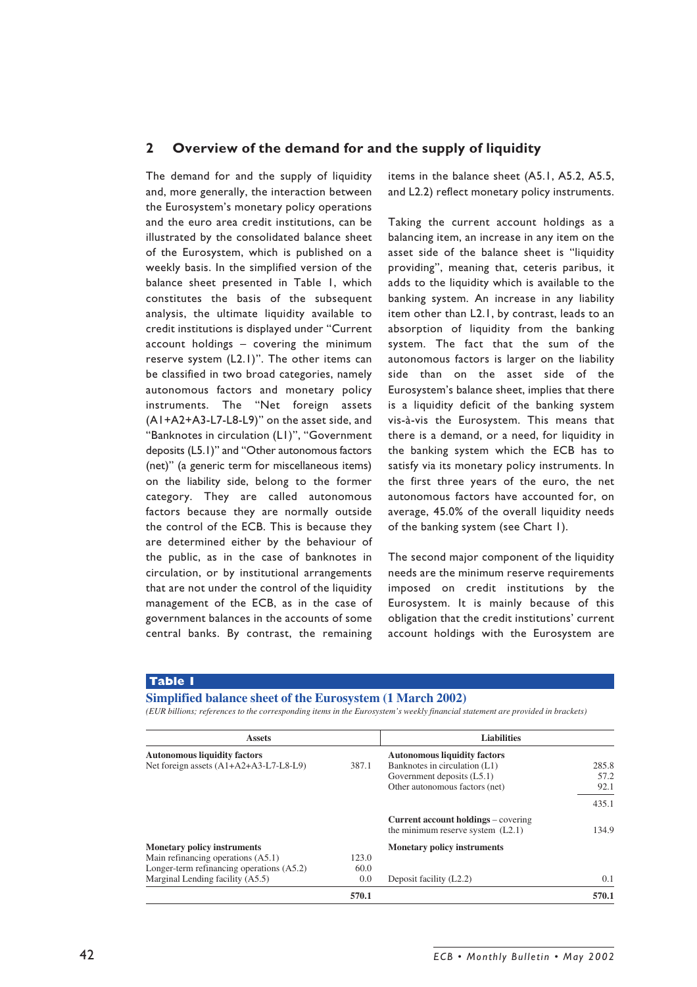# **2 Overview of the demand for and the supply of liquidity**

The demand for and the supply of liquidity and, more generally, the interaction between the Eurosystem's monetary policy operations and the euro area credit institutions, can be illustrated by the consolidated balance sheet of the Eurosystem, which is published on a weekly basis. In the simplified version of the balance sheet presented in Table 1, which constitutes the basis of the subsequent analysis, the ultimate liquidity available to credit institutions is displayed under "Current account holdings – covering the minimum reserve system (L2.1)". The other items can be classified in two broad categories, namely autonomous factors and monetary policy instruments. The "Net foreign assets (A1+A2+A3-L7-L8-L9)" on the asset side, and "Banknotes in circulation (L1)", "Government deposits (L5.1)" and "Other autonomous factors (net)" (a generic term for miscellaneous items) on the liability side, belong to the former category. They are called autonomous factors because they are normally outside the control of the ECB. This is because they are determined either by the behaviour of the public, as in the case of banknotes in circulation, or by institutional arrangements that are not under the control of the liquidity management of the ECB, as in the case of government balances in the accounts of some central banks. By contrast, the remaining items in the balance sheet (A5.1, A5.2, A5.5, and L2.2) reflect monetary policy instruments.

Taking the current account holdings as a balancing item, an increase in any item on the asset side of the balance sheet is "liquidity providing", meaning that, ceteris paribus, it adds to the liquidity which is available to the banking system. An increase in any liability item other than L2.1, by contrast, leads to an absorption of liquidity from the banking system. The fact that the sum of the autonomous factors is larger on the liability side than on the asset side of the Eurosystem's balance sheet, implies that there is a liquidity deficit of the banking system vis-à-vis the Eurosystem. This means that there is a demand, or a need, for liquidity in the banking system which the ECB has to satisfy via its monetary policy instruments. In the first three years of the euro, the net autonomous factors have accounted for, on average, 45.0% of the overall liquidity needs of the banking system (see Chart 1).

The second major component of the liquidity needs are the minimum reserve requirements imposed on credit institutions by the Eurosystem. It is mainly because of this obligation that the credit institutions' current account holdings with the Eurosystem are

#### **Table 1**

#### **Simplified balance sheet of the Eurosystem (1 March 2002)**

*(EUR billions; references to the corresponding items in the Eurosystem's weekly financial statement are provided in brackets)*

| <b>Assets</b>                             |       | <b>Liabilities</b>                         |       |
|-------------------------------------------|-------|--------------------------------------------|-------|
| <b>Autonomous liquidity factors</b>       |       | <b>Autonomous liquidity factors</b>        |       |
| Net foreign assets (A1+A2+A3-L7-L8-L9)    | 387.1 | Banknotes in circulation (L1)              | 285.8 |
|                                           |       | Government deposits (L5.1)                 | 57.2  |
|                                           |       | Other autonomous factors (net)             | 92.1  |
|                                           |       |                                            | 435.1 |
|                                           |       | <b>Current account holdings</b> – covering |       |
|                                           |       | the minimum reserve system $(L2.1)$        | 134.9 |
| <b>Monetary policy instruments</b>        |       | <b>Monetary policy instruments</b>         |       |
| Main refinancing operations (A5.1)        | 123.0 |                                            |       |
| Longer-term refinancing operations (A5.2) | 60.0  |                                            |       |
| Marginal Lending facility (A5.5)          | 0.0   | Deposit facility (L2.2)                    | 0.1   |
|                                           | 570.1 |                                            | 570.1 |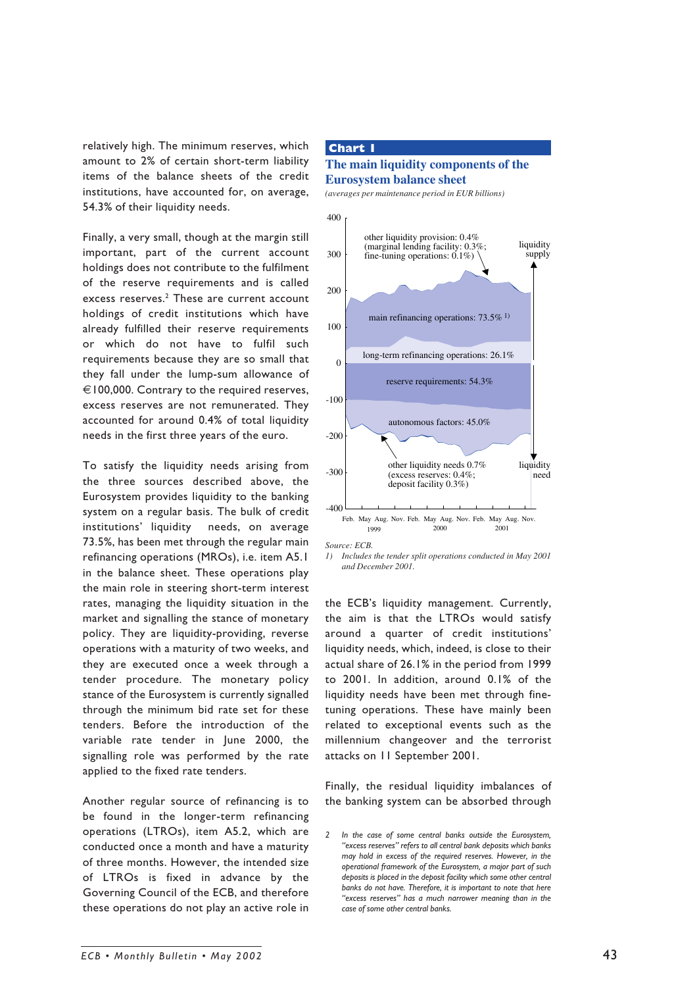relatively high. The minimum reserves, which amount to 2% of certain short-term liability items of the balance sheets of the credit institutions, have accounted for, on average, 54.3% of their liquidity needs.

Finally, a very small, though at the margin still important, part of the current account holdings does not contribute to the fulfilment of the reserve requirements and is called excess reserves.<sup>2</sup> These are current account holdings of credit institutions which have already fulfilled their reserve requirements or which do not have to fulfil such requirements because they are so small that they fall under the lump-sum allowance of €100,000. Contrary to the required reserves, excess reserves are not remunerated. They accounted for around 0.4% of total liquidity needs in the first three years of the euro.

To satisfy the liquidity needs arising from the three sources described above, the Eurosystem provides liquidity to the banking system on a regular basis. The bulk of credit institutions' liquidity needs, on average 73.5%, has been met through the regular main refinancing operations (MROs), i.e. item A5.1 in the balance sheet. These operations play the main role in steering short-term interest rates, managing the liquidity situation in the market and signalling the stance of monetary policy. They are liquidity-providing, reverse operations with a maturity of two weeks, and they are executed once a week through a tender procedure. The monetary policy stance of the Eurosystem is currently signalled through the minimum bid rate set for these tenders. Before the introduction of the variable rate tender in June 2000, the signalling role was performed by the rate applied to the fixed rate tenders.

Another regular source of refinancing is to be found in the longer-term refinancing operations (LTROs), item A5.2, which are conducted once a month and have a maturity of three months. However, the intended size of LTROs is fixed in advance by the Governing Council of the ECB, and therefore these operations do not play an active role in

#### **Chart 1**

## **The main liquidity components of the Eurosystem balance sheet**

*(averages per maintenance period in EUR billions)*



*Source: ECB.*

the ECB's liquidity management. Currently, the aim is that the LTROs would satisfy around a quarter of credit institutions' liquidity needs, which, indeed, is close to their actual share of 26.1% in the period from 1999 to 2001. In addition, around 0.1% of the liquidity needs have been met through finetuning operations. These have mainly been related to exceptional events such as the millennium changeover and the terrorist attacks on 11 September 2001.

Finally, the residual liquidity imbalances of the banking system can be absorbed through

*<sup>1)</sup> Includes the tender split operations conducted in May 2001 and December 2001.*

*<sup>2</sup> In the case of some central banks outside the Eurosystem, "excess reserves" refers to all central bank deposits which banks may hold in excess of the required reserves. However, in the operational framework of the Eurosystem, a major part of such deposits is placed in the deposit facility which some other central banks do not have. Therefore, it is important to note that here "excess reserves" has a much narrower meaning than in the case of some other central banks.*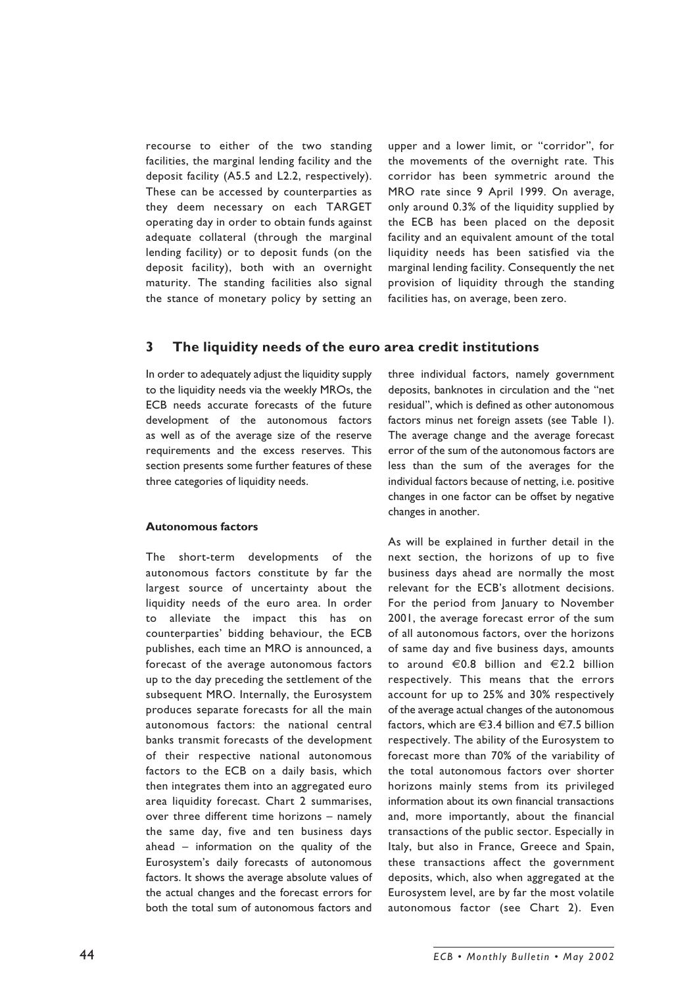recourse to either of the two standing facilities, the marginal lending facility and the deposit facility (A5.5 and L2.2, respectively). These can be accessed by counterparties as they deem necessary on each TARGET operating day in order to obtain funds against adequate collateral (through the marginal lending facility) or to deposit funds (on the deposit facility), both with an overnight maturity. The standing facilities also signal the stance of monetary policy by setting an

upper and a lower limit, or "corridor", for the movements of the overnight rate. This corridor has been symmetric around the MRO rate since 9 April 1999. On average, only around 0.3% of the liquidity supplied by the ECB has been placed on the deposit facility and an equivalent amount of the total liquidity needs has been satisfied via the marginal lending facility. Consequently the net provision of liquidity through the standing facilities has, on average, been zero.

## **3 The liquidity needs of the euro area credit institutions**

In order to adequately adjust the liquidity supply to the liquidity needs via the weekly MROs, the ECB needs accurate forecasts of the future development of the autonomous factors as well as of the average size of the reserve requirements and the excess reserves. This section presents some further features of these three categories of liquidity needs.

#### **Autonomous factors**

The short-term developments of the autonomous factors constitute by far the largest source of uncertainty about the liquidity needs of the euro area. In order to alleviate the impact this has on counterparties' bidding behaviour, the ECB publishes, each time an MRO is announced, a forecast of the average autonomous factors up to the day preceding the settlement of the subsequent MRO. Internally, the Eurosystem produces separate forecasts for all the main autonomous factors: the national central banks transmit forecasts of the development of their respective national autonomous factors to the ECB on a daily basis, which then integrates them into an aggregated euro area liquidity forecast. Chart 2 summarises, over three different time horizons – namely the same day, five and ten business days ahead – information on the quality of the Eurosystem's daily forecasts of autonomous factors. It shows the average absolute values of the actual changes and the forecast errors for both the total sum of autonomous factors and

three individual factors, namely government deposits, banknotes in circulation and the "net residual", which is defined as other autonomous factors minus net foreign assets (see Table 1). The average change and the average forecast error of the sum of the autonomous factors are less than the sum of the averages for the individual factors because of netting, i.e. positive changes in one factor can be offset by negative changes in another.

As will be explained in further detail in the next section, the horizons of up to five business days ahead are normally the most relevant for the ECB's allotment decisions. For the period from January to November 2001, the average forecast error of the sum of all autonomous factors, over the horizons of same day and five business days, amounts to around  $\epsilon$ 0.8 billion and  $\epsilon$ 2.2 billion respectively. This means that the errors account for up to 25% and 30% respectively of the average actual changes of the autonomous factors, which are  $\in$ 3.4 billion and  $\in$ 7.5 billion respectively. The ability of the Eurosystem to forecast more than 70% of the variability of the total autonomous factors over shorter horizons mainly stems from its privileged information about its own financial transactions and, more importantly, about the financial transactions of the public sector. Especially in Italy, but also in France, Greece and Spain, these transactions affect the government deposits, which, also when aggregated at the Eurosystem level, are by far the most volatile autonomous factor (see Chart 2). Even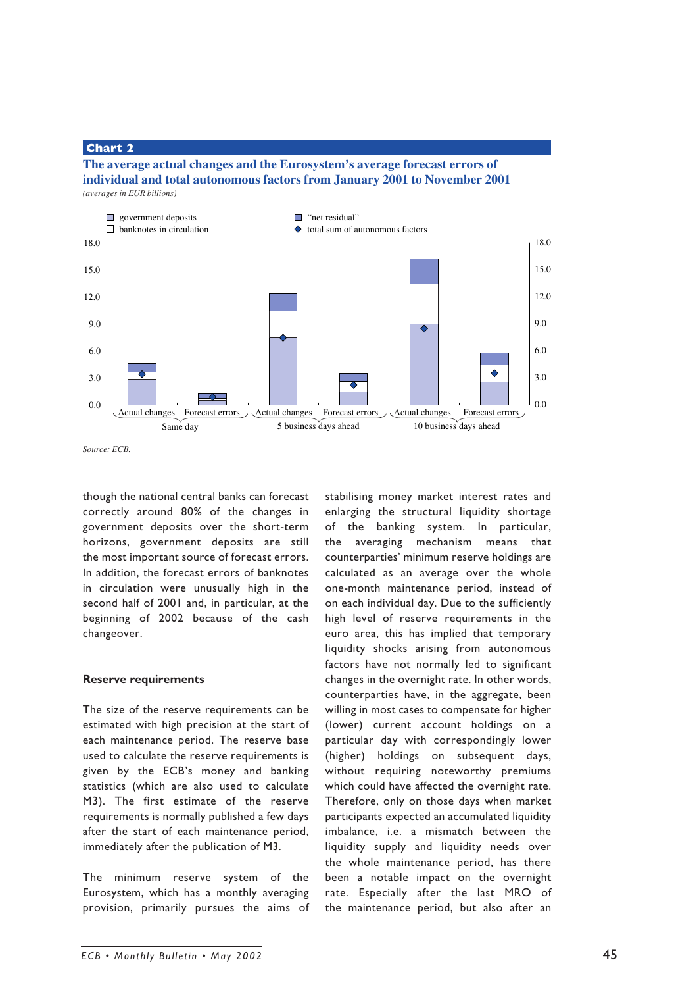## **Chart 2**

#### **The average actual changes and the Eurosystem's average forecast errors of individual and total autonomous factors from January 2001 to November 2001** *(averages in EUR billions)*



*Source: ECB.*

though the national central banks can forecast correctly around 80% of the changes in government deposits over the short-term horizons, government deposits are still the most important source of forecast errors. In addition, the forecast errors of banknotes in circulation were unusually high in the second half of 2001 and, in particular, at the beginning of 2002 because of the cash changeover.

#### **Reserve requirements**

The size of the reserve requirements can be estimated with high precision at the start of each maintenance period. The reserve base used to calculate the reserve requirements is given by the ECB's money and banking statistics (which are also used to calculate M3). The first estimate of the reserve requirements is normally published a few days after the start of each maintenance period, immediately after the publication of M3.

The minimum reserve system of the Eurosystem, which has a monthly averaging provision, primarily pursues the aims of stabilising money market interest rates and enlarging the structural liquidity shortage of the banking system. In particular, the averaging mechanism means that counterparties' minimum reserve holdings are calculated as an average over the whole one-month maintenance period, instead of on each individual day. Due to the sufficiently high level of reserve requirements in the euro area, this has implied that temporary liquidity shocks arising from autonomous factors have not normally led to significant changes in the overnight rate. In other words, counterparties have, in the aggregate, been willing in most cases to compensate for higher (lower) current account holdings on a particular day with correspondingly lower (higher) holdings on subsequent days, without requiring noteworthy premiums which could have affected the overnight rate. Therefore, only on those days when market participants expected an accumulated liquidity imbalance, i.e. a mismatch between the liquidity supply and liquidity needs over the whole maintenance period, has there been a notable impact on the overnight rate. Especially after the last MRO of the maintenance period, but also after an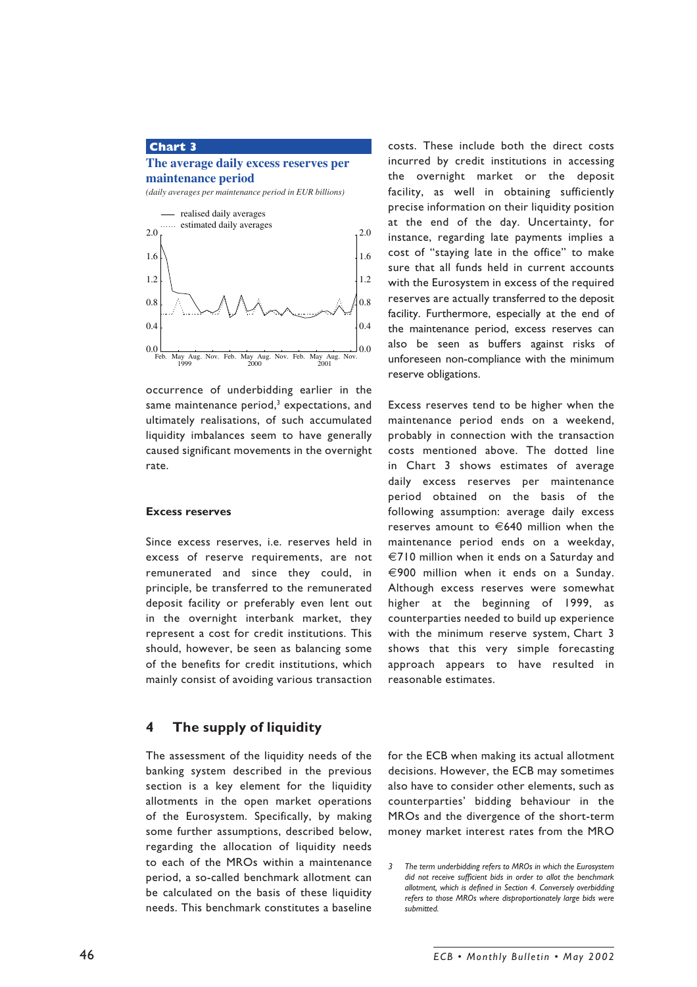# **Chart 3**

#### **The average daily excess reserves per maintenance period**

*(daily averages per maintenance period in EUR billions)*



occurrence of underbidding earlier in the same maintenance period, $^{\rm 3}$  expectations, and ultimately realisations, of such accumulated liquidity imbalances seem to have generally caused significant movements in the overnight rate.

#### **Excess reserves**

Since excess reserves, i.e. reserves held in excess of reserve requirements, are not remunerated and since they could, in principle, be transferred to the remunerated deposit facility or preferably even lent out in the overnight interbank market, they represent a cost for credit institutions. This should, however, be seen as balancing some of the benefits for credit institutions, which mainly consist of avoiding various transaction

# **4 The supply of liquidity**

The assessment of the liquidity needs of the banking system described in the previous section is a key element for the liquidity allotments in the open market operations of the Eurosystem. Specifically, by making some further assumptions, described below, regarding the allocation of liquidity needs to each of the MROs within a maintenance period, a so-called benchmark allotment can be calculated on the basis of these liquidity needs. This benchmark constitutes a baseline costs. These include both the direct costs incurred by credit institutions in accessing the overnight market or the deposit facility, as well in obtaining sufficiently precise information on their liquidity position at the end of the day. Uncertainty, for instance, regarding late payments implies a cost of "staying late in the office" to make sure that all funds held in current accounts with the Eurosystem in excess of the required reserves are actually transferred to the deposit facility. Furthermore, especially at the end of the maintenance period, excess reserves can also be seen as buffers against risks of unforeseen non-compliance with the minimum reserve obligations.

Excess reserves tend to be higher when the maintenance period ends on a weekend, probably in connection with the transaction costs mentioned above. The dotted line in Chart 3 shows estimates of average daily excess reserves per maintenance period obtained on the basis of the following assumption: average daily excess reserves amount to  $\in$  640 million when the maintenance period ends on a weekday, €710 million when it ends on a Saturday and €900 million when it ends on a Sunday. Although excess reserves were somewhat higher at the beginning of 1999, as counterparties needed to build up experience with the minimum reserve system, Chart 3 shows that this very simple forecasting approach appears to have resulted in reasonable estimates.

for the ECB when making its actual allotment decisions. However, the ECB may sometimes also have to consider other elements, such as counterparties' bidding behaviour in the MROs and the divergence of the short-term money market interest rates from the MRO

*<sup>3</sup> The term underbidding refers to MROs in which the Eurosystem did not receive sufficient bids in order to allot the benchmark allotment, which is defined in Section 4. Conversely overbidding refers to those MROs where disproportionately large bids were submitted.*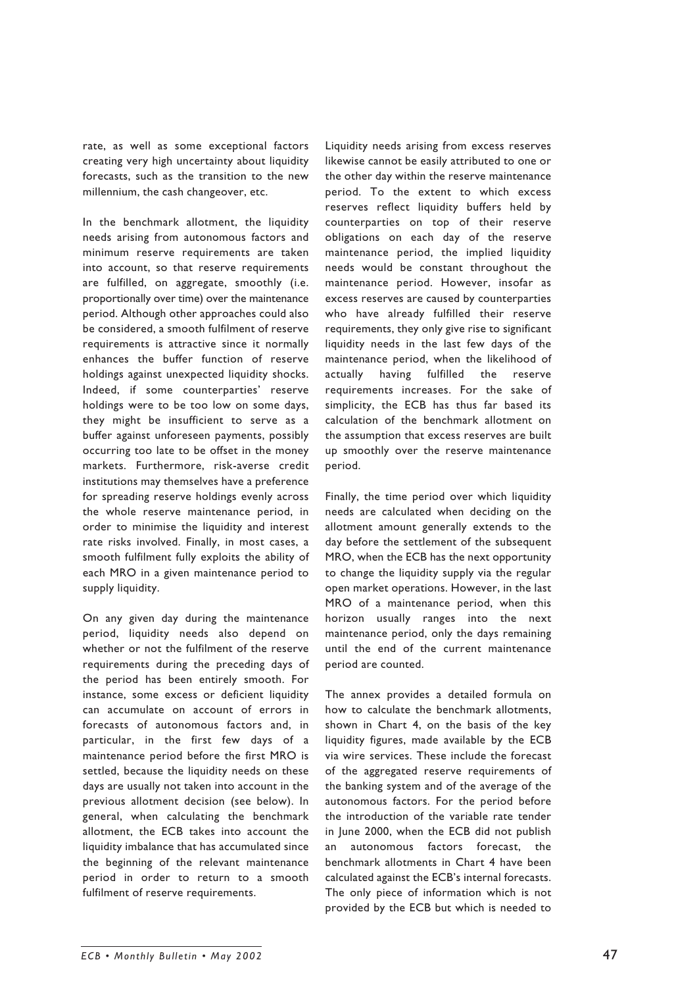rate, as well as some exceptional factors creating very high uncertainty about liquidity forecasts, such as the transition to the new millennium, the cash changeover, etc.

In the benchmark allotment, the liquidity needs arising from autonomous factors and minimum reserve requirements are taken into account, so that reserve requirements are fulfilled, on aggregate, smoothly (i.e. proportionally over time) over the maintenance period. Although other approaches could also be considered, a smooth fulfilment of reserve requirements is attractive since it normally enhances the buffer function of reserve holdings against unexpected liquidity shocks. Indeed, if some counterparties' reserve holdings were to be too low on some days, they might be insufficient to serve as a buffer against unforeseen payments, possibly occurring too late to be offset in the money markets. Furthermore, risk-averse credit institutions may themselves have a preference for spreading reserve holdings evenly across the whole reserve maintenance period, in order to minimise the liquidity and interest rate risks involved. Finally, in most cases, a smooth fulfilment fully exploits the ability of each MRO in a given maintenance period to supply liquidity.

On any given day during the maintenance period, liquidity needs also depend on whether or not the fulfilment of the reserve requirements during the preceding days of the period has been entirely smooth. For instance, some excess or deficient liquidity can accumulate on account of errors in forecasts of autonomous factors and, in particular, in the first few days of a maintenance period before the first MRO is settled, because the liquidity needs on these days are usually not taken into account in the previous allotment decision (see below). In general, when calculating the benchmark allotment, the ECB takes into account the liquidity imbalance that has accumulated since the beginning of the relevant maintenance period in order to return to a smooth fulfilment of reserve requirements.

Liquidity needs arising from excess reserves likewise cannot be easily attributed to one or the other day within the reserve maintenance period. To the extent to which excess reserves reflect liquidity buffers held by counterparties on top of their reserve obligations on each day of the reserve maintenance period, the implied liquidity needs would be constant throughout the maintenance period. However, insofar as excess reserves are caused by counterparties who have already fulfilled their reserve requirements, they only give rise to significant liquidity needs in the last few days of the maintenance period, when the likelihood of actually having fulfilled the reserve requirements increases. For the sake of simplicity, the ECB has thus far based its calculation of the benchmark allotment on the assumption that excess reserves are built up smoothly over the reserve maintenance period.

Finally, the time period over which liquidity needs are calculated when deciding on the allotment amount generally extends to the day before the settlement of the subsequent MRO, when the ECB has the next opportunity to change the liquidity supply via the regular open market operations. However, in the last MRO of a maintenance period, when this horizon usually ranges into the next maintenance period, only the days remaining until the end of the current maintenance period are counted.

The annex provides a detailed formula on how to calculate the benchmark allotments, shown in Chart 4, on the basis of the key liquidity figures, made available by the ECB via wire services. These include the forecast of the aggregated reserve requirements of the banking system and of the average of the autonomous factors. For the period before the introduction of the variable rate tender in June 2000, when the ECB did not publish an autonomous factors forecast, the benchmark allotments in Chart 4 have been calculated against the ECB's internal forecasts. The only piece of information which is not provided by the ECB but which is needed to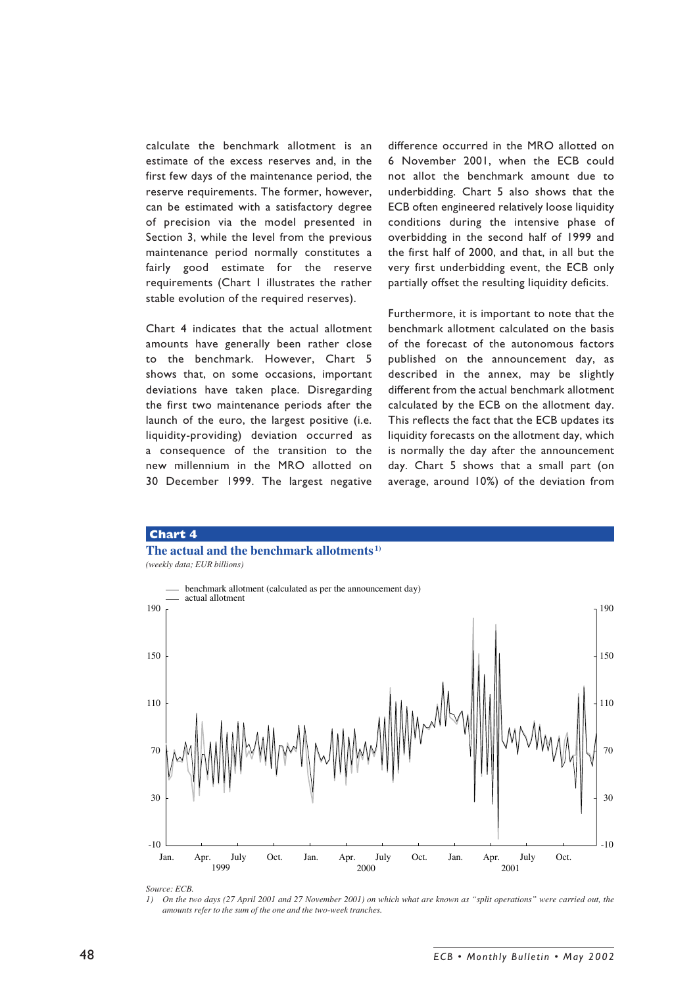calculate the benchmark allotment is an estimate of the excess reserves and, in the first few days of the maintenance period, the reserve requirements. The former, however, can be estimated with a satisfactory degree of precision via the model presented in Section 3, while the level from the previous maintenance period normally constitutes a fairly good estimate for the reserve requirements (Chart 1 illustrates the rather stable evolution of the required reserves).

Chart 4 indicates that the actual allotment amounts have generally been rather close to the benchmark. However, Chart 5 shows that, on some occasions, important deviations have taken place. Disregarding the first two maintenance periods after the launch of the euro, the largest positive (i.e. liquidity-providing) deviation occurred as a consequence of the transition to the new millennium in the MRO allotted on 30 December 1999. The largest negative difference occurred in the MRO allotted on 6 November 2001, when the ECB could not allot the benchmark amount due to underbidding. Chart 5 also shows that the ECB often engineered relatively loose liquidity conditions during the intensive phase of overbidding in the second half of 1999 and the first half of 2000, and that, in all but the very first underbidding event, the ECB only partially offset the resulting liquidity deficits.

Furthermore, it is important to note that the benchmark allotment calculated on the basis of the forecast of the autonomous factors published on the announcement day, as described in the annex, may be slightly different from the actual benchmark allotment calculated by the ECB on the allotment day. This reflects the fact that the ECB updates its liquidity forecasts on the allotment day, which is normally the day after the announcement day. Chart 5 shows that a small part (on average, around 10%) of the deviation from



*Source: ECB.*

*<sup>1)</sup> On the two days (27 April 2001 and 27 November 2001) on which what are known as " split operations" were carried out, the amounts refer to the sum of the one and the two-week tranches.*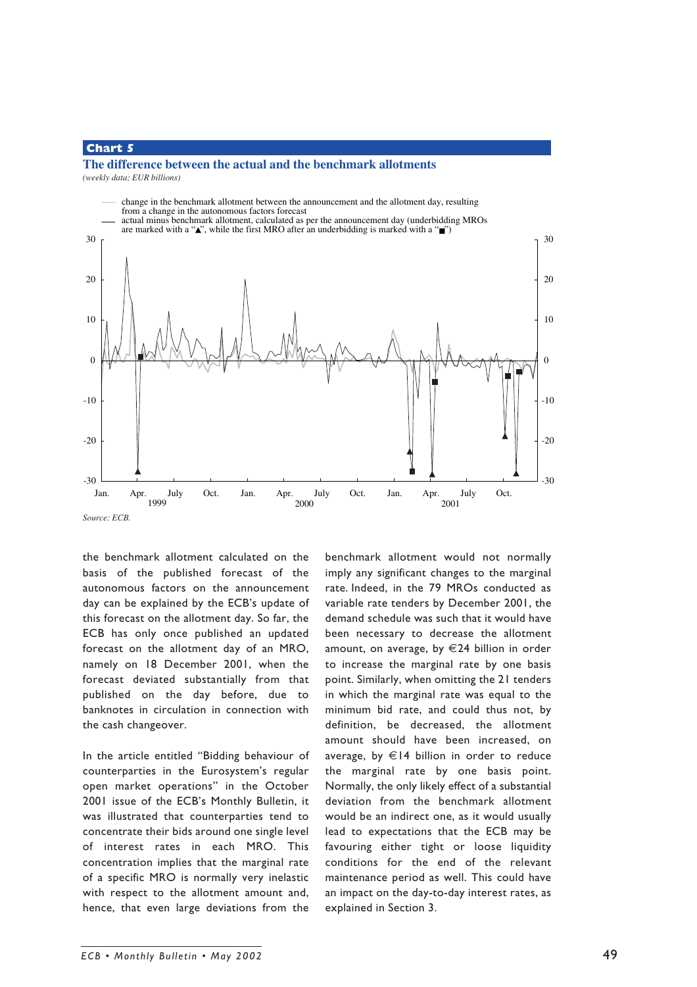# **Chart 5**

# **The difference between the actual and the benchmark allotments**

*(weekly data; EUR billions)*



*Source: ECB.*

the benchmark allotment calculated on the basis of the published forecast of the autonomous factors on the announcement day can be explained by the ECB's update of this forecast on the allotment day. So far, the ECB has only once published an updated forecast on the allotment day of an MRO, namely on 18 December 2001, when the forecast deviated substantially from that published on the day before, due to banknotes in circulation in connection with the cash changeover.

In the article entitled "Bidding behaviour of counterparties in the Eurosystem's regular open market operations" in the October 2001 issue of the ECB's Monthly Bulletin, it was illustrated that counterparties tend to concentrate their bids around one single level of interest rates in each MRO. This concentration implies that the marginal rate of a specific MRO is normally very inelastic with respect to the allotment amount and, hence, that even large deviations from the

benchmark allotment would not normally imply any significant changes to the marginal rate. Indeed, in the 79 MROs conducted as variable rate tenders by December 2001, the demand schedule was such that it would have been necessary to decrease the allotment amount, on average, by €24 billion in order to increase the marginal rate by one basis point. Similarly, when omitting the 21 tenders in which the marginal rate was equal to the minimum bid rate, and could thus not, by definition, be decreased, the allotment amount should have been increased, on average, by €14 billion in order to reduce the marginal rate by one basis point. Normally, the only likely effect of a substantial deviation from the benchmark allotment would be an indirect one, as it would usually lead to expectations that the ECB may be favouring either tight or loose liquidity conditions for the end of the relevant maintenance period as well. This could have an impact on the day-to-day interest rates, as explained in Section 3.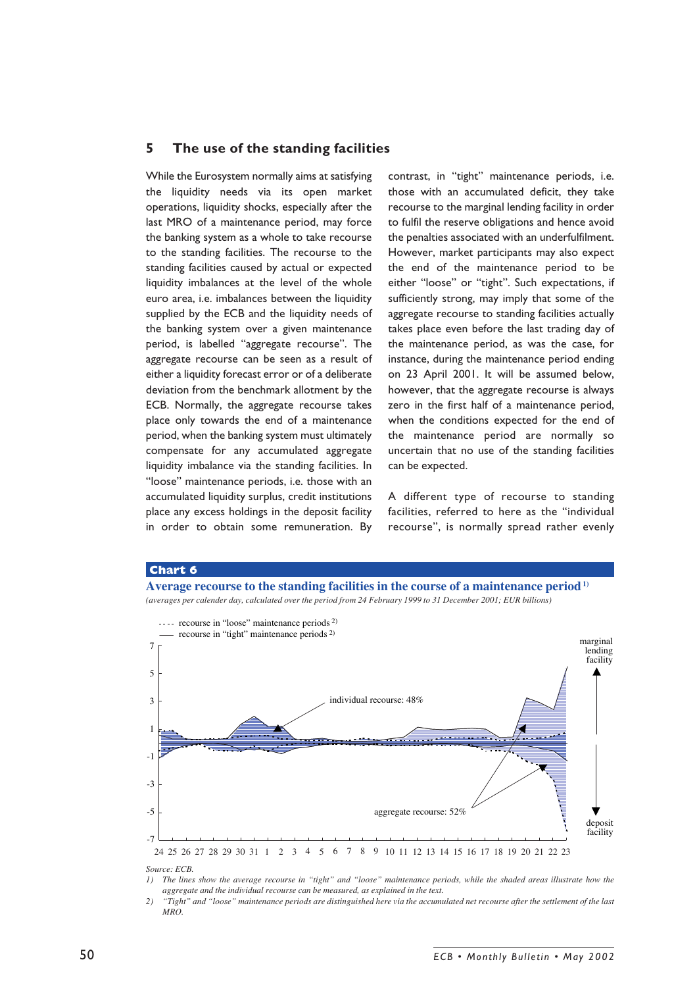# **5 The use of the standing facilities**

While the Eurosystem normally aims at satisfying the liquidity needs via its open market operations, liquidity shocks, especially after the last MRO of a maintenance period, may force the banking system as a whole to take recourse to the standing facilities. The recourse to the standing facilities caused by actual or expected liquidity imbalances at the level of the whole euro area, i.e. imbalances between the liquidity supplied by the ECB and the liquidity needs of the banking system over a given maintenance period, is labelled "aggregate recourse". The aggregate recourse can be seen as a result of either a liquidity forecast error or of a deliberate deviation from the benchmark allotment by the ECB. Normally, the aggregate recourse takes place only towards the end of a maintenance period, when the banking system must ultimately compensate for any accumulated aggregate liquidity imbalance via the standing facilities. In "loose" maintenance periods, i.e. those with an accumulated liquidity surplus, credit institutions place any excess holdings in the deposit facility in order to obtain some remuneration. By

contrast, in "tight" maintenance periods, i.e. those with an accumulated deficit, they take recourse to the marginal lending facility in order to fulfil the reserve obligations and hence avoid the penalties associated with an underfulfilment. However, market participants may also expect the end of the maintenance period to be either "loose" or "tight". Such expectations, if sufficiently strong, may imply that some of the aggregate recourse to standing facilities actually takes place even before the last trading day of the maintenance period, as was the case, for instance, during the maintenance period ending on 23 April 2001. It will be assumed below, however, that the aggregate recourse is always zero in the first half of a maintenance period, when the conditions expected for the end of the maintenance period are normally so uncertain that no use of the standing facilities can be expected.

A different type of recourse to standing facilities, referred to here as the "individual recourse", is normally spread rather evenly

#### **Chart 6**





*Source: ECB.*

*1) The lines show the average recourse in " tight" and " loose" maintenance periods, while the shaded areas illustrate how the aggregate and the individual recourse can be measured, as explained in the text.*

*2) " Tight" and " loose" maintenance periods are distinguished here via the accumulated net recourse after the settlement of the last MRO.*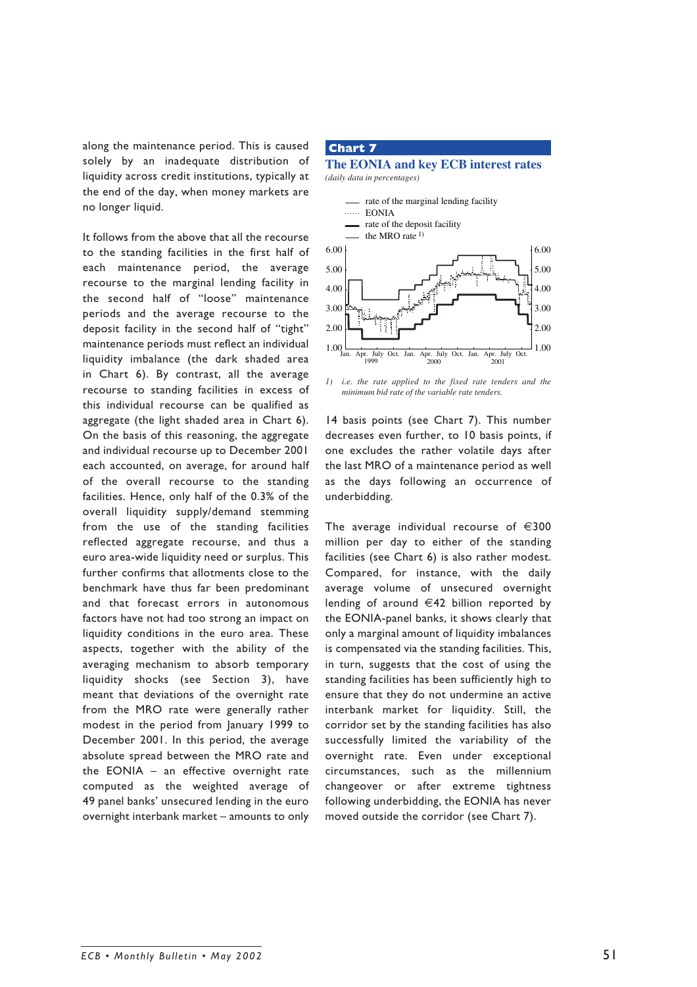along the maintenance period. This is caused solely by an inadequate distribution of liquidity across credit institutions, typically at the end of the day, when money markets are no longer liquid.

It follows from the above that all the recourse to the standing facilities in the first half of each maintenance period, the average recourse to the marginal lending facility in the second half of "loose" maintenance periods and the average recourse to the deposit facility in the second half of "tight" maintenance periods must reflect an individual liquidity imbalance (the dark shaded area in Chart 6). By contrast, all the average recourse to standing facilities in excess of this individual recourse can be qualified as aggregate (the light shaded area in Chart 6). On the basis of this reasoning, the aggregate and individual recourse up to December 2001 each accounted, on average, for around half of the overall recourse to the standing facilities. Hence, only half of the 0.3% of the overall liquidity supply/demand stemming from the use of the standing facilities reflected aggregate recourse, and thus a euro area-wide liquidity need or surplus. This further confirms that allotments close to the benchmark have thus far been predominant and that forecast errors in autonomous factors have not had too strong an impact on liquidity conditions in the euro area. These aspects, together with the ability of the averaging mechanism to absorb temporary liquidity shocks (see Section 3), have meant that deviations of the overnight rate from the MRO rate were generally rather modest in the period from January 1999 to December 2001. In this period, the average absolute spread between the MRO rate and the EONIA – an effective overnight rate computed as the weighted average of 49 panel banks' unsecured lending in the euro overnight interbank market – amounts to only

#### **Chart 7**

**The EONIA and key ECB interest rates** *(daily data in percentages)*



*1) i.e. the rate applied to the fixed rate tenders and the minimum bid rate of the variable rate tenders.*

14 basis points (see Chart 7). This number decreases even further, to 10 basis points, if one excludes the rather volatile days after the last MRO of a maintenance period as well as the days following an occurrence of underbidding.

The average individual recourse of  $\in$ 300 million per day to either of the standing facilities (see Chart 6) is also rather modest. Compared, for instance, with the daily average volume of unsecured overnight lending of around €42 billion reported by the EONIA-panel banks, it shows clearly that only a marginal amount of liquidity imbalances is compensated via the standing facilities. This, in turn, suggests that the cost of using the standing facilities has been sufficiently high to ensure that they do not undermine an active interbank market for liquidity. Still, the corridor set by the standing facilities has also successfully limited the variability of the overnight rate. Even under exceptional circumstances, such as the millennium changeover or after extreme tightness following underbidding, the EONIA has never moved outside the corridor (see Chart 7).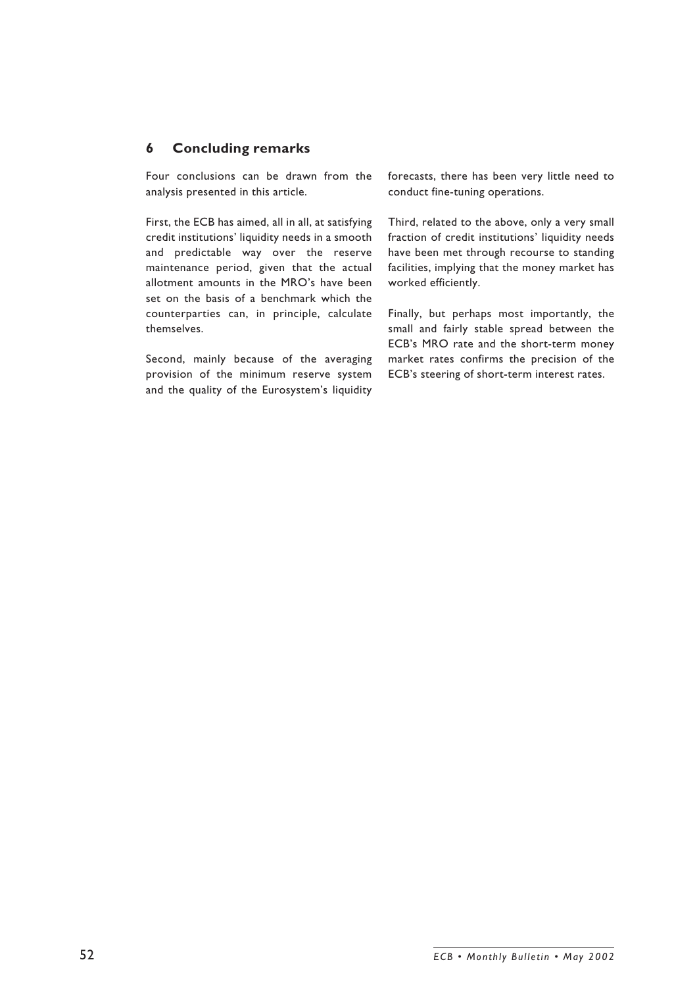# **6 Concluding remarks**

Four conclusions can be drawn from the analysis presented in this article.

First, the ECB has aimed, all in all, at satisfying credit institutions' liquidity needs in a smooth and predictable way over the reserve maintenance period, given that the actual allotment amounts in the MRO's have been set on the basis of a benchmark which the counterparties can, in principle, calculate themselves.

Second, mainly because of the averaging provision of the minimum reserve system and the quality of the Eurosystem's liquidity forecasts, there has been very little need to conduct fine-tuning operations.

Third, related to the above, only a very small fraction of credit institutions' liquidity needs have been met through recourse to standing facilities, implying that the money market has worked efficiently.

Finally, but perhaps most importantly, the small and fairly stable spread between the ECB's MRO rate and the short-term money market rates confirms the precision of the ECB's steering of short-term interest rates.